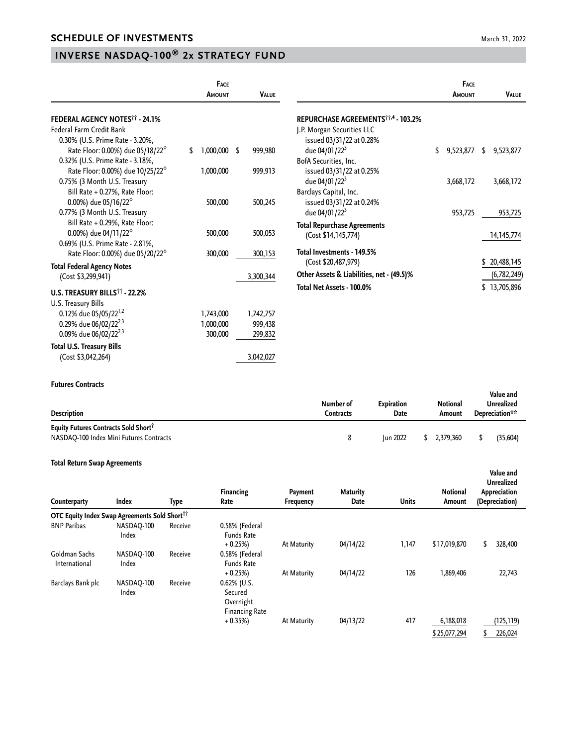## **INVERSE NASDAQ-100® 2x STRATEGY FUND**

(Cost \$3,042,264) 3,042,027

|                                                  | <b>FACE</b> |               |  |              |                                                | FACE            |    |              |
|--------------------------------------------------|-------------|---------------|--|--------------|------------------------------------------------|-----------------|----|--------------|
|                                                  |             | <b>AMOUNT</b> |  | <b>VALUE</b> |                                                | AMOUNT          |    | <b>VALUE</b> |
| <b>FEDERAL AGENCY NOTES<sup>11</sup> - 24.1%</b> |             |               |  |              | REPURCHASE AGREEMENTS <sup>††,4</sup> - 103.2% |                 |    |              |
| <b>Federal Farm Credit Bank</b>                  |             |               |  |              | J.P. Morgan Securities LLC                     |                 |    |              |
| 0.30% (U.S. Prime Rate - 3.20%,                  |             |               |  |              | issued 03/31/22 at 0.28%                       |                 |    |              |
| Rate Floor: 0.00%) due 05/18/22 <sup>°</sup>     | \$          | $,000,000$ \$ |  | 999,980      | due 04/01/22 <sup>3</sup>                      | \$<br>9,523,877 | \$ | 9,523,877    |
| 0.32% (U.S. Prime Rate - 3.18%,                  |             |               |  |              | BofA Securities, Inc.                          |                 |    |              |
| Rate Floor: 0.00%) due 10/25/22 <sup>6</sup>     |             | 1,000,000     |  | 999,913      | issued 03/31/22 at 0.25%                       |                 |    |              |
| 0.75% (3 Month U.S. Treasury                     |             |               |  |              | due 04/01/22 <sup>3</sup>                      | 3,668,172       |    | 3,668,172    |
| Bill Rate + 0.27%, Rate Floor:                   |             |               |  |              | Barclays Capital, Inc.                         |                 |    |              |
| 0.00%) due 05/16/22 $^{\circ}$                   |             | 500,000       |  | 500,245      | issued 03/31/22 at 0.24%                       |                 |    |              |
| 0.77% (3 Month U.S. Treasury                     |             |               |  |              | due 04/01/22 <sup>3</sup>                      | 953,725         |    | 953,725      |
| Bill Rate + 0.29%, Rate Floor:                   |             |               |  |              | <b>Total Repurchase Agreements</b>             |                 |    |              |
| 0.00%) due 04/11/22 $^{\circ}$                   |             | 500,000       |  | 500,053      | (Cost \$14,145,774)                            |                 |    | 14, 145, 774 |
| 0.69% (U.S. Prime Rate - 2.81%,                  |             |               |  |              |                                                |                 |    |              |
| Rate Floor: 0.00%) due 05/20/22 <sup>6</sup>     |             | 300,000       |  | 300,153      | Total Investments - 149.5%                     |                 |    |              |
| <b>Total Federal Agency Notes</b>                |             |               |  |              | (Cost \$20,487,979)                            |                 | \$ | 20,488,145   |
| (Cost \$3,299,941)                               |             |               |  | 3,300,344    | Other Assets & Liabilities, net - (49.5)%      |                 |    | (6,782,249)  |
| U.S. TREASURY BILLS <sup>11</sup> - 22.2%        |             |               |  |              | Total Net Assets - 100.0%                      |                 |    | \$13,705,896 |
| U.S. Treasury Bills                              |             |               |  |              |                                                |                 |    |              |
| 0.12% due 05/05/22 <sup>1,2</sup>                |             | 1,743,000     |  | 1,742,757    |                                                |                 |    |              |
| 0.29% due 06/02/22 <sup>2,3</sup>                |             | 1,000,000     |  | 999,438      |                                                |                 |    |              |
| 0.09% due 06/02/22 <sup>2,3</sup>                |             | 300,000       |  | 299,832      |                                                |                 |    |              |

## **Futures Contracts**

**Total U.S. Treasury Bills**

| .<br><b>Description</b>                                                                     | Number of<br>Contracts | <b>Expiration</b><br>Date | Notional<br>Amount | Value and<br>Unrealized<br>Depreciation** |           |
|---------------------------------------------------------------------------------------------|------------------------|---------------------------|--------------------|-------------------------------------------|-----------|
| Equity Futures Contracts Sold Short <sup>1</sup><br>NASDAQ-100 Index Mini Futures Contracts | 8                      | <b>Iun 2022</b>           | 2.379.360          |                                           | (35, 604) |

## **Total Return Swap Agreements**

| Counterparty                                              | Index               | Type    | Financing<br>Rate                                               | Payment<br>Frequency | <b>Maturity</b><br>Date | <b>Units</b> | <b>Notional</b><br>Amount | Value and<br>Unrealized<br>Appreciation<br>(Depreciation) |  |
|-----------------------------------------------------------|---------------------|---------|-----------------------------------------------------------------|----------------------|-------------------------|--------------|---------------------------|-----------------------------------------------------------|--|
| OTC Equity Index Swap Agreements Sold Short <sup>11</sup> |                     |         |                                                                 |                      |                         |              |                           |                                                           |  |
| <b>BNP Paribas</b>                                        | NASDAO-100<br>Index | Receive | 0.58% (Federal<br><b>Funds Rate</b>                             |                      |                         |              |                           |                                                           |  |
|                                                           |                     |         | $+0.25%$                                                        | At Maturity          | 04/14/22                | 1,147        | \$17,019,870              | 328,400<br>\$                                             |  |
| Goldman Sachs<br>International                            | NASDAO-100<br>Index | Receive | 0.58% (Federal<br><b>Funds Rate</b>                             |                      |                         |              |                           |                                                           |  |
|                                                           |                     |         | $+0.25%$                                                        | At Maturity          | 04/14/22                | 126          | 1,869,406                 | 22,743                                                    |  |
| Barclays Bank plc                                         | NASDAQ-100<br>Index | Receive | $0.62\%$ (U.S.<br>Secured<br>Overnight<br><b>Financing Rate</b> |                      |                         |              |                           |                                                           |  |
|                                                           |                     |         | $+0.35%$                                                        | At Maturity          | 04/13/22                | 417          | 6,188,018                 | (125,119)                                                 |  |
|                                                           |                     |         |                                                                 |                      |                         |              | \$25,077,294              | 226,024                                                   |  |